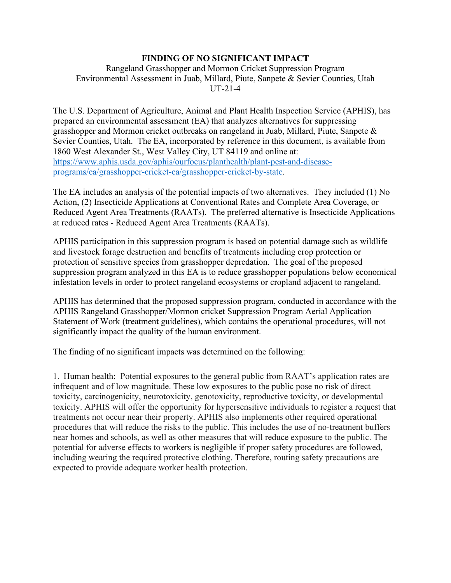## **FINDING OF NO SIGNIFICANT IMPACT**

## Rangeland Grasshopper and Mormon Cricket Suppression Program Environmental Assessment in Juab, Millard, Piute, Sanpete & Sevier Counties, Utah UT-21-4

The U.S. Department of Agriculture, Animal and Plant Health Inspection Service (APHIS), has prepared an environmental assessment (EA) that analyzes alternatives for suppressing grasshopper and Mormon cricket outbreaks on rangeland in Juab, Millard, Piute, Sanpete & Sevier Counties, Utah. The EA, incorporated by reference in this document, is available from 1860 West Alexander St., West Valley City, UT 84119 and online at: [https://www.aphis.usda.gov/aphis/ourfocus/planthealth/plant-pest-and-disease](https://www.aphis.usda.gov/aphis/ourfocus/planthealth/plant-pest-and-disease-programs/ea/grasshopper-cricket-ea/grasshopper-cricket-by-state)[programs/ea/grasshopper-cricket-ea/grasshopper-cricket-by-state.](https://www.aphis.usda.gov/aphis/ourfocus/planthealth/plant-pest-and-disease-programs/ea/grasshopper-cricket-ea/grasshopper-cricket-by-state)

The EA includes an analysis of the potential impacts of two alternatives. They included (1) No Action, (2) Insecticide Applications at Conventional Rates and Complete Area Coverage, or Reduced Agent Area Treatments (RAATs). The preferred alternative is Insecticide Applications at reduced rates - Reduced Agent Area Treatments (RAATs).

APHIS participation in this suppression program is based on potential damage such as wildlife and livestock forage destruction and benefits of treatments including crop protection or protection of sensitive species from grasshopper depredation. The goal of the proposed suppression program analyzed in this EA is to reduce grasshopper populations below economical infestation levels in order to protect rangeland ecosystems or cropland adjacent to rangeland.

APHIS has determined that the proposed suppression program, conducted in accordance with the APHIS Rangeland Grasshopper/Mormon cricket Suppression Program Aerial Application Statement of Work (treatment guidelines), which contains the operational procedures, will not significantly impact the quality of the human environment.

The finding of no significant impacts was determined on the following:

1. Human health: Potential exposures to the general public from RAAT's application rates are infrequent and of low magnitude. These low exposures to the public pose no risk of direct toxicity, carcinogenicity, neurotoxicity, genotoxicity, reproductive toxicity, or developmental toxicity. APHIS will offer the opportunity for hypersensitive individuals to register a request that treatments not occur near their property. APHIS also implements other required operational procedures that will reduce the risks to the public. This includes the use of no-treatment buffers near homes and schools, as well as other measures that will reduce exposure to the public. The potential for adverse effects to workers is negligible if proper safety procedures are followed, including wearing the required protective clothing. Therefore, routing safety precautions are expected to provide adequate worker health protection.